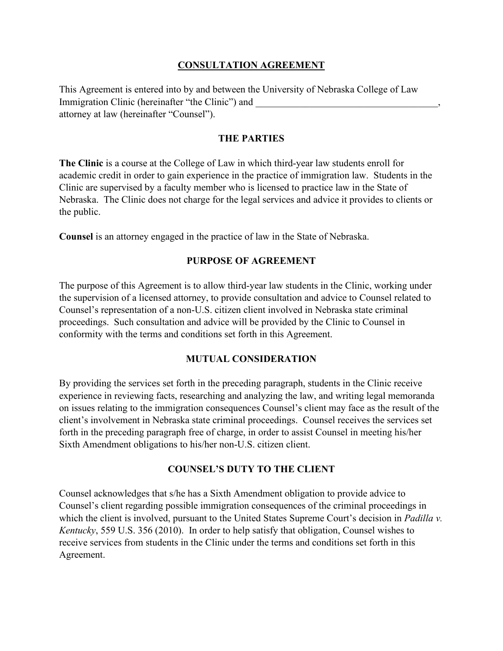### **CONSULTATION AGREEMENT**

This Agreement is entered into by and between the University of Nebraska College of Law Immigration Clinic (hereinafter "the Clinic") and attorney at law (hereinafter "Counsel").

#### **THE PARTIES**

**The Clinic** is a course at the College of Law in which third-year law students enroll for academic credit in order to gain experience in the practice of immigration law. Students in the Clinic are supervised by a faculty member who is licensed to practice law in the State of Nebraska. The Clinic does not charge for the legal services and advice it provides to clients or the public.

**Counsel** is an attorney engaged in the practice of law in the State of Nebraska.

#### **PURPOSE OF AGREEMENT**

The purpose of this Agreement is to allow third-year law students in the Clinic, working under the supervision of a licensed attorney, to provide consultation and advice to Counsel related to Counsel's representation of a non-U.S. citizen client involved in Nebraska state criminal proceedings. Such consultation and advice will be provided by the Clinic to Counsel in conformity with the terms and conditions set forth in this Agreement.

#### **MUTUAL CONSIDERATION**

By providing the services set forth in the preceding paragraph, students in the Clinic receive experience in reviewing facts, researching and analyzing the law, and writing legal memoranda on issues relating to the immigration consequences Counsel's client may face as the result of the client's involvement in Nebraska state criminal proceedings. Counsel receives the services set forth in the preceding paragraph free of charge, in order to assist Counsel in meeting his/her Sixth Amendment obligations to his/her non-U.S. citizen client.

#### **COUNSEL'S DUTY TO THE CLIENT**

Counsel acknowledges that s/he has a Sixth Amendment obligation to provide advice to Counsel's client regarding possible immigration consequences of the criminal proceedings in which the client is involved, pursuant to the United States Supreme Court's decision in *Padilla v. Kentucky*, 559 U.S. 356 (2010). In order to help satisfy that obligation, Counsel wishes to receive services from students in the Clinic under the terms and conditions set forth in this Agreement.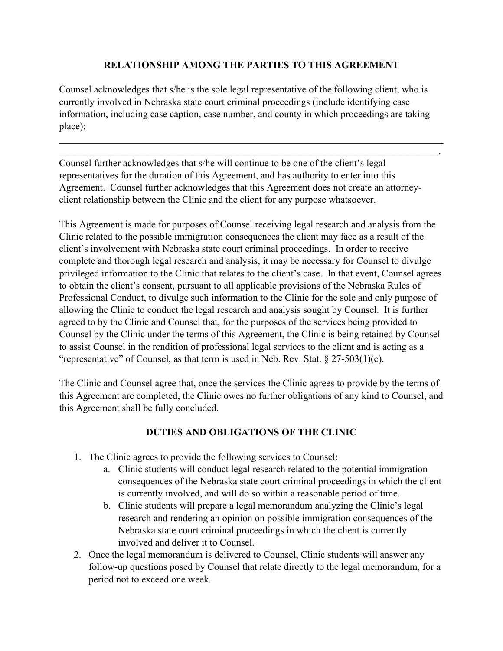### **RELATIONSHIP AMONG THE PARTIES TO THIS AGREEMENT**

Counsel acknowledges that s/he is the sole legal representative of the following client, who is currently involved in Nebraska state court criminal proceedings (include identifying case information, including case caption, case number, and county in which proceedings are taking place):

\_\_\_\_\_\_\_\_\_\_\_\_\_\_\_\_\_\_\_\_\_\_\_\_\_\_\_\_\_\_\_\_\_\_\_\_\_\_\_\_\_\_\_\_\_\_\_\_\_\_\_\_\_\_\_\_\_\_\_\_\_\_\_\_\_\_\_\_\_\_\_\_\_\_\_\_\_\_  $\_$  , and the contribution of the contribution of  $\mathcal{L}_\mathbf{z}$  , and the contribution of  $\mathcal{L}_\mathbf{z}$ 

Counsel further acknowledges that s/he will continue to be one of the client's legal representatives for the duration of this Agreement, and has authority to enter into this Agreement. Counsel further acknowledges that this Agreement does not create an attorneyclient relationship between the Clinic and the client for any purpose whatsoever.

This Agreement is made for purposes of Counsel receiving legal research and analysis from the Clinic related to the possible immigration consequences the client may face as a result of the client's involvement with Nebraska state court criminal proceedings. In order to receive complete and thorough legal research and analysis, it may be necessary for Counsel to divulge privileged information to the Clinic that relates to the client's case. In that event, Counsel agrees to obtain the client's consent, pursuant to all applicable provisions of the Nebraska Rules of Professional Conduct, to divulge such information to the Clinic for the sole and only purpose of allowing the Clinic to conduct the legal research and analysis sought by Counsel. It is further agreed to by the Clinic and Counsel that, for the purposes of the services being provided to Counsel by the Clinic under the terms of this Agreement, the Clinic is being retained by Counsel to assist Counsel in the rendition of professional legal services to the client and is acting as a "representative" of Counsel, as that term is used in Neb. Rev. Stat.  $\S 27-503(1)(c)$ .

The Clinic and Counsel agree that, once the services the Clinic agrees to provide by the terms of this Agreement are completed, the Clinic owes no further obligations of any kind to Counsel, and this Agreement shall be fully concluded.

# **DUTIES AND OBLIGATIONS OF THE CLINIC**

- 1. The Clinic agrees to provide the following services to Counsel:
	- a. Clinic students will conduct legal research related to the potential immigration consequences of the Nebraska state court criminal proceedings in which the client is currently involved, and will do so within a reasonable period of time.
	- b. Clinic students will prepare a legal memorandum analyzing the Clinic's legal research and rendering an opinion on possible immigration consequences of the Nebraska state court criminal proceedings in which the client is currently involved and deliver it to Counsel.
- 2. Once the legal memorandum is delivered to Counsel, Clinic students will answer any follow-up questions posed by Counsel that relate directly to the legal memorandum, for a period not to exceed one week.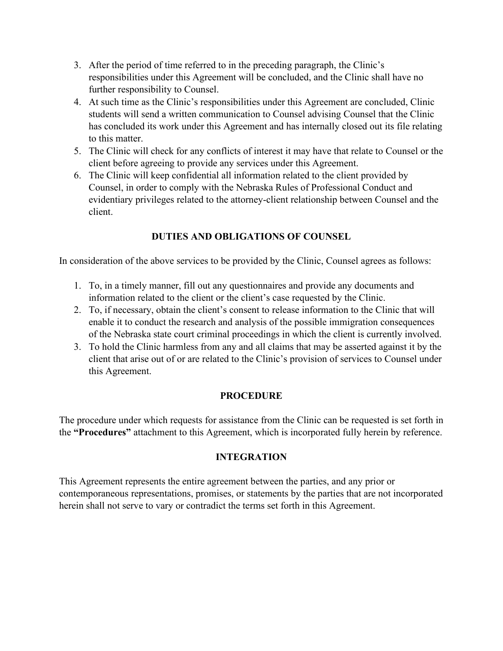- 3. After the period of time referred to in the preceding paragraph, the Clinic's responsibilities under this Agreement will be concluded, and the Clinic shall have no further responsibility to Counsel.
- 4. At such time as the Clinic's responsibilities under this Agreement are concluded, Clinic students will send a written communication to Counsel advising Counsel that the Clinic has concluded its work under this Agreement and has internally closed out its file relating to this matter.
- 5. The Clinic will check for any conflicts of interest it may have that relate to Counsel or the client before agreeing to provide any services under this Agreement.
- 6. The Clinic will keep confidential all information related to the client provided by Counsel, in order to comply with the Nebraska Rules of Professional Conduct and evidentiary privileges related to the attorney-client relationship between Counsel and the client.

# **DUTIES AND OBLIGATIONS OF COUNSEL**

In consideration of the above services to be provided by the Clinic, Counsel agrees as follows:

- 1. To, in a timely manner, fill out any questionnaires and provide any documents and information related to the client or the client's case requested by the Clinic.
- 2. To, if necessary, obtain the client's consent to release information to the Clinic that will enable it to conduct the research and analysis of the possible immigration consequences of the Nebraska state court criminal proceedings in which the client is currently involved.
- 3. To hold the Clinic harmless from any and all claims that may be asserted against it by the client that arise out of or are related to the Clinic's provision of services to Counsel under this Agreement.

# **PROCEDURE**

The procedure under which requests for assistance from the Clinic can be requested is set forth in the **"Procedures"** attachment to this Agreement, which is incorporated fully herein by reference.

# **INTEGRATION**

This Agreement represents the entire agreement between the parties, and any prior or contemporaneous representations, promises, or statements by the parties that are not incorporated herein shall not serve to vary or contradict the terms set forth in this Agreement.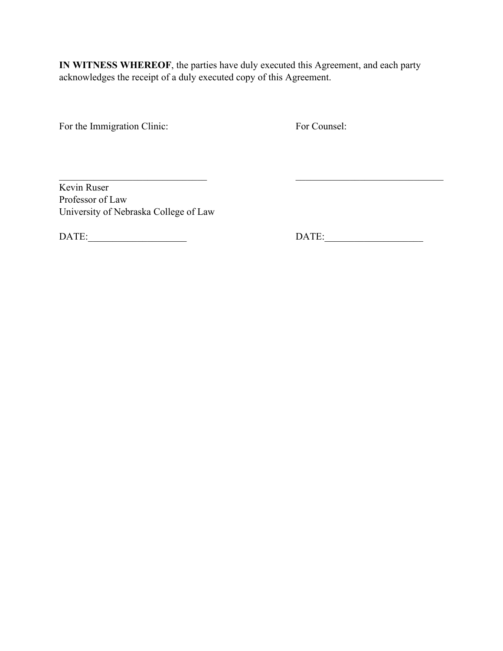**IN WITNESS WHEREOF**, the parties have duly executed this Agreement, and each party acknowledges the receipt of a duly executed copy of this Agreement.

 $\overline{\phantom{a}}$  , and the contribution of the contribution of  $\overline{\phantom{a}}$  , and  $\overline{\phantom{a}}$  , and  $\overline{\phantom{a}}$ 

For the Immigration Clinic: For Counsel:

Kevin Ruser Professor of Law University of Nebraska College of Law

DATE:\_\_\_\_\_\_\_\_\_\_\_\_\_\_\_\_\_\_\_\_ DATE:\_\_\_\_\_\_\_\_\_\_\_\_\_\_\_\_\_\_\_\_